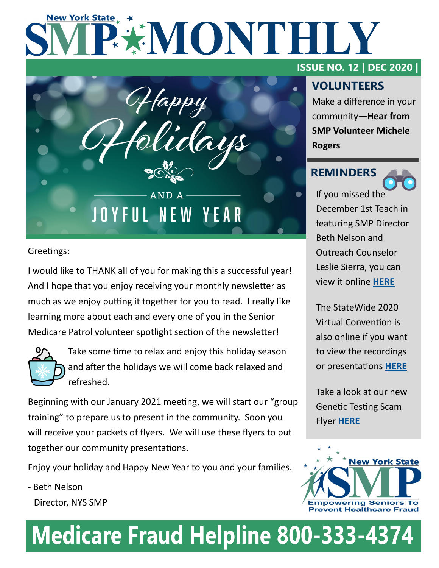# **New York State** EXMONTHILY



Greetings:

I would like to THANK all of you for making this a successful year! And I hope that you enjoy receiving your monthly newsletter as much as we enjoy putting it together for you to read. I really like learning more about each and every one of you in the Senior Medicare Patrol volunteer spotlight section of the newsletter!



Take some time to relax and enjoy this holiday season and after the holidays we will come back relaxed and refreshed.

Beginning with our January 2021 meeting, we will start our "group training" to prepare us to present in the community. Soon you will receive your packets of flyers. We will use these flyers to put together our community presentations.

Enjoy your holiday and Happy New Year to you and your families.

- Beth Nelson Director, NYS SMP

### **ISSUE NO. 12 | DEC 2020 |**

# **VOLUNTEERS**

Make a difference in your community—**Hear from SMP Volunteer Michele Rogers**

## **REMINDERS**



If you missed the December 1st Teach in featuring SMP Director Beth Nelson and Outreach Counselor Leslie Sierra, you can view it online **[HERE](https://www.nysenior.org/patient-advocate-program-webinar-november-17-2020/)**

The StateWide 2020 Virtual Convention is also online if you want to view the recordings or presentations **[HERE](https://www.nysenior.org/wp-content/uploads/2020/12/genetic-testing-scam-2-1.pdf)**

Take a look at our new Genetic Testing Scam Flyer **[HERE](https://www.nysenior.org/wp-content/uploads/2020/12/genetic-testing-scam-2-1.pdf)**



# **Medicare Fraud Helpline 800-333-4374**